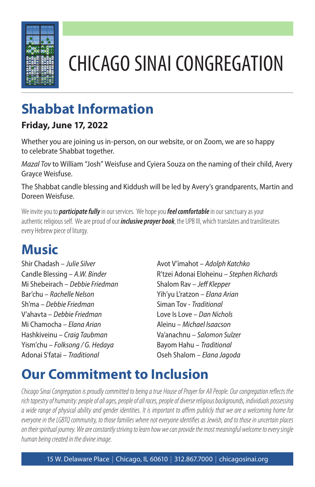

# CHICAGO SINAI CONGREGATION

## **Shabbat Information**

#### **Friday, June 17, 2022**

Whether you are joining us in-person, on our website, or on Zoom, we are so happy to celebrate Shabbat together.

*Mazal Tov* to William "Josh" Weisfuse and Cyiera Souza on the naming of their child, Avery Grayce Weisfuse.

The Shabbat candle blessing and Kiddush will be led by Avery's grandparents, Martin and Doreen Weisfuse.

We invite you to *participate fully*in our services. We hope you *feel comfortable*in our sanctuary as your authentic religious self. We are proud of our *inclusive prayer book*, the UPB III, which translates and transliterates every Hebrew piece of liturgy.

#### **Music**

Shir Chadash – *Julie Silver* Candle Blessing – *A.W. Binder* Mi Shebeirach – *Debbie Friedman* Bar'chu – *Rachelle Nelson* Sh'ma – *Debbie Friedman* V'ahavta – *Debbie Friedman* Mi Chamocha – *Elana Arian* Hashkiveinu – *Craig Taubman* Yism'chu – *Folksong / G. Hedaya* Adonai S'fatai – *Traditional*

Avot V'imahot – *Adolph Katchko* R'tzei Adonai Eloheinu – *Stephen Richards* Shalom Rav – *Jeff Klepper* Yih'yu L'ratzon – *Elana Arian* Siman Tov - *Traditional* Love Is Love – *Dan Nichols* Aleinu – *Michael Isaacson* Va'anachnu – *Salomon Sulzer* Bayom Hahu – *Traditional* Oseh Shalom – *Elana Jagoda*

#### **Our Commitment to Inclusion**

*Chicago Sinai Congregation is proudly committed to being a true House of Prayer for All People. Our congregation reflects the rich tapestry of humanity: people of all ages, people of all races, people of diverse religious backgrounds, individuals possessing a wide range of physical ability and gender identities. It is important to affirm publicly that we are a welcoming home for everyone in the LGBTQ community, to those families where not everyone identifies as Jewish, and to those in uncertain places on their spiritual journey. We are constantly striving to learn how we can provide the most meaningful welcome to every single human being created in the divine image.*